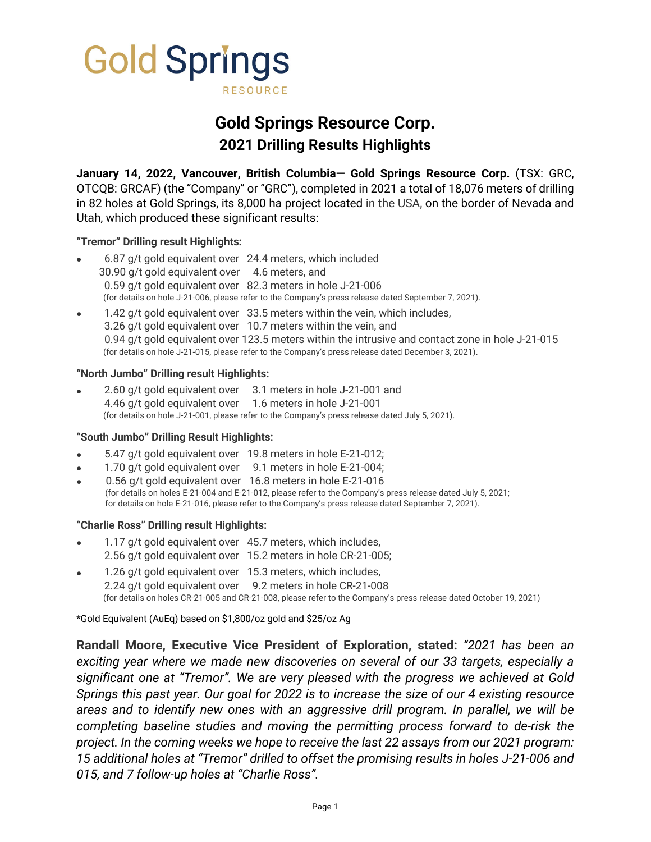

# **Gold Springs Resource Corp. 2021 Drilling Results Highlights**

**January 14, 2022, Vancouver, British Columbia— Gold Springs Resource Corp.** (TSX: GRC, OTCQB: GRCAF) (the "Company" or "GRC"), completed in 2021 a total of 18,076 meters of drilling in 82 holes at Gold Springs, its 8,000 ha project located in the USA, on the border of Nevada and Utah, which produced these significant results:

## **"Tremor" Drilling result Highlights:**

- 6.87 g/t gold equivalent over 24.4 meters, which included 30.90 g/t gold equivalent over 4.6 meters, and 0.59 g/t gold equivalent over 82.3 meters in hole J-21-006 (for details on hole J-21-006, please refer to the Company's press release dated September 7, 2021).
- 1.42 g/t gold equivalent over 33.5 meters within the vein, which includes, 3.26 g/t gold equivalent over 10.7 meters within the vein, and 0.94 g/t gold equivalent over 123.5 meters within the intrusive and contact zone in hole J-21-015 (for details on hole J-21-015, please refer to the Company's press release dated December 3, 2021).

## **"North Jumbo" Drilling result Highlights:**

• 2.60 g/t gold equivalent over 3.1 meters in hole J-21-001 and 4.46 g/t gold equivalent over 1.6 meters in hole J-21-001 (for details on hole J-21-001, please refer to the Company's press release dated July 5, 2021).

#### **"South Jumbo" Drilling Result Highlights:**

- 5.47 g/t gold equivalent over 19.8 meters in hole E-21-012;
- 1.70 g/t gold equivalent over 9.1 meters in hole E-21-004;
- 0.56 g/t gold equivalent over 16.8 meters in hole E-21-016 (for details on holes E-21-004 and E-21-012, please refer to the Company's press release dated July 5, 2021; for details on hole E-21-016, please refer to the Company's press release dated September 7, 2021).

#### **"Charlie Ross" Drilling result Highlights:**

- 1.17 g/t gold equivalent over 45.7 meters, which includes, 2.56 g/t gold equivalent over 15.2 meters in hole CR-21-005;
- 1.26 g/t gold equivalent over 15.3 meters, which includes, 2.24 g/t gold equivalent over 9.2 meters in hole CR-21-008 (for details on holes CR-21-005 and CR-21-008, please refer to the Company's press release dated October 19, 2021)

\*Gold Equivalent (AuEq) based on \$1,800/oz gold and \$25/oz Ag

**Randall Moore, Executive Vice President of Exploration, stated:** *"2021 has been an exciting year where we made new discoveries on several of our 33 targets, especially a significant one at "Tremor". We are very pleased with the progress we achieved at Gold Springs this past year. Our goal for 2022 is to increase the size of our 4 existing resource areas and to identify new ones with an aggressive drill program. In parallel, we will be completing baseline studies and moving the permitting process forward to de-risk the project. In the coming weeks we hope to receive the last 22 assays from our 2021 program: 15 additional holes at "Tremor" drilled to offset the promising results in holes J-21-006 and 015, and 7 follow-up holes at "Charlie Ross".*